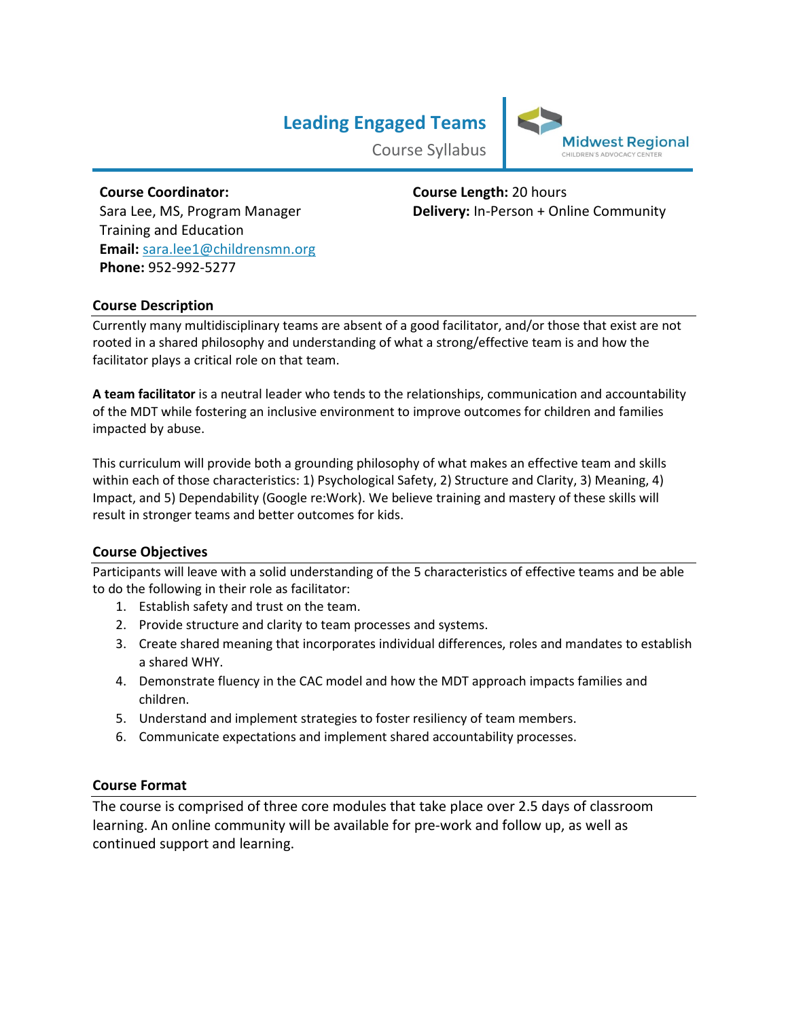# **Leading Engaged Teams**



Course Syllabus

# **Course Coordinator:**  Sara Lee, MS, Program Manager Training and Education **Email:** [sara.lee1@childrensmn.org](mailto:sara.lee1@childrensmn.org) **Phone:** 952-992-5277

**Course Length:** 20 hours **Delivery:** In-Person + Online Community

# **Course Description**

Currently many multidisciplinary teams are absent of a good facilitator, and/or those that exist are not rooted in a shared philosophy and understanding of what a strong/effective team is and how the facilitator plays a critical role on that team.

**A team facilitator** is a neutral leader who tends to the relationships, communication and accountability of the MDT while fostering an inclusive environment to improve outcomes for children and families impacted by abuse.

This curriculum will provide both a grounding philosophy of what makes an effective team and skills within each of those characteristics: 1) Psychological Safety, 2) Structure and Clarity, 3) Meaning, 4) Impact, and 5) Dependability (Google re:Work). We believe training and mastery of these skills will result in stronger teams and better outcomes for kids.

### **Course Objectives**

Participants will leave with a solid understanding of the 5 characteristics of effective teams and be able to do the following in their role as facilitator:

- 1. Establish safety and trust on the team.
- 2. Provide structure and clarity to team processes and systems.
- 3. Create shared meaning that incorporates individual differences, roles and mandates to establish a shared WHY.
- 4. Demonstrate fluency in the CAC model and how the MDT approach impacts families and children.
- 5. Understand and implement strategies to foster resiliency of team members.
- 6. Communicate expectations and implement shared accountability processes.

### **Course Format**

The course is comprised of three core modules that take place over 2.5 days of classroom learning. An online community will be available for pre-work and follow up, as well as continued support and learning.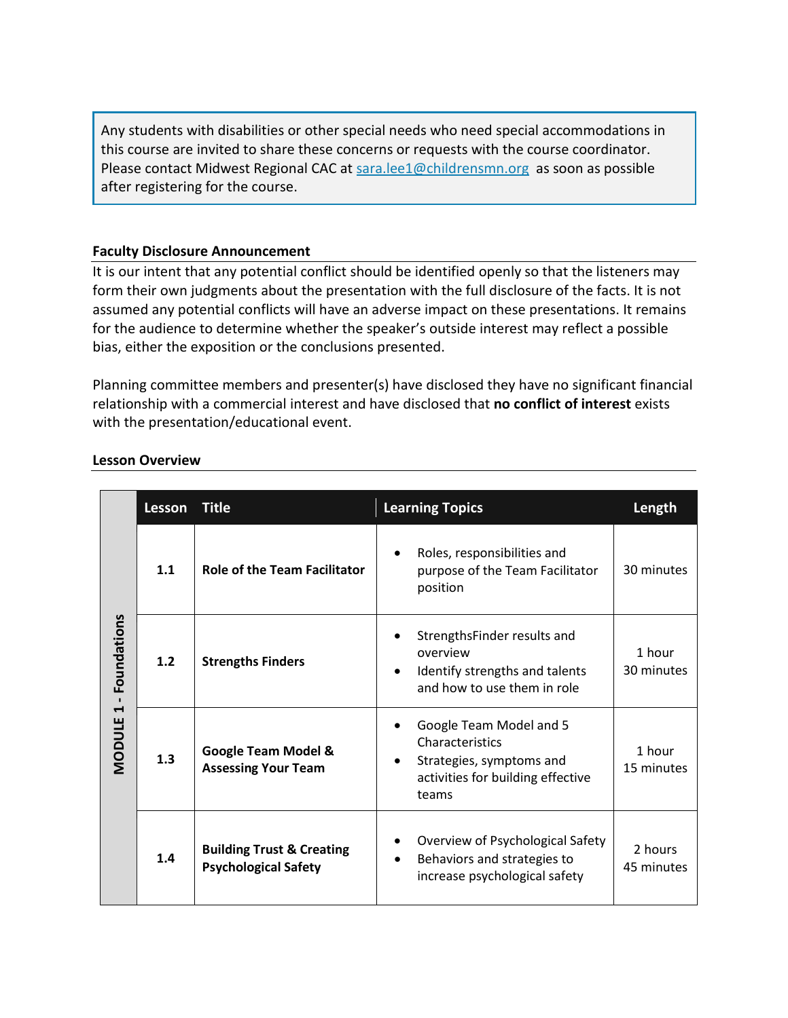Any students with disabilities or other special needs who need special accommodations in this course are invited to share these concerns or requests with the course coordinator. Please contact Midwest Regional CAC at [sara.lee1@childrensmn.org](mailto:sara.lee1@childrensmn.org) as soon as possible after registering for the course.

## **Faculty Disclosure Announcement**

It is our intent that any potential conflict should be identified openly so that the listeners may form their own judgments about the presentation with the full disclosure of the facts. It is not assumed any potential conflicts will have an adverse impact on these presentations. It remains for the audience to determine whether the speaker's outside interest may reflect a possible bias, either the exposition or the conclusions presented.

Planning committee members and presenter(s) have disclosed they have no significant financial relationship with a commercial interest and have disclosed that **no conflict of interest** exists with the presentation/educational event.

|                                                      | Lesson | <b>Title</b>                                                        | <b>Learning Topics</b>                                                                                               | Length                |
|------------------------------------------------------|--------|---------------------------------------------------------------------|----------------------------------------------------------------------------------------------------------------------|-----------------------|
| Foundations<br>$\blacktriangleleft$<br><b>MODULE</b> | 1.1    | <b>Role of the Team Facilitator</b>                                 | Roles, responsibilities and<br>purpose of the Team Facilitator<br>position                                           | 30 minutes            |
|                                                      | 1.2    | <b>Strengths Finders</b>                                            | StrengthsFinder results and<br>overview<br>Identify strengths and talents<br>and how to use them in role             | 1 hour<br>30 minutes  |
|                                                      | 1.3    | <b>Google Team Model &amp;</b><br><b>Assessing Your Team</b>        | Google Team Model and 5<br>Characteristics<br>Strategies, symptoms and<br>activities for building effective<br>teams | 1 hour<br>15 minutes  |
|                                                      | 1.4    | <b>Building Trust &amp; Creating</b><br><b>Psychological Safety</b> | Overview of Psychological Safety<br>Behaviors and strategies to<br>$\bullet$<br>increase psychological safety        | 2 hours<br>45 minutes |

# **Lesson Overview**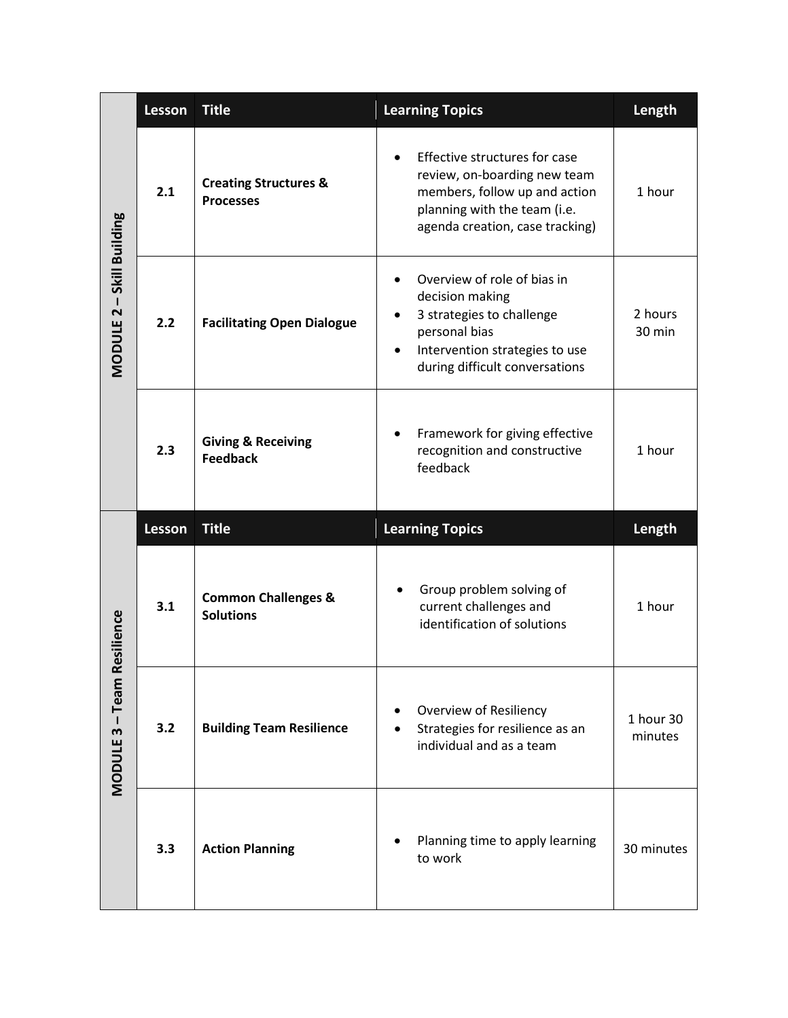|                             | <b>Lesson</b> | <b>Title</b>                                         | <b>Learning Topics</b>                                                                                                                                                             | Length               |
|-----------------------------|---------------|------------------------------------------------------|------------------------------------------------------------------------------------------------------------------------------------------------------------------------------------|----------------------|
| MODULE 2 - Skill Building   | 2.1           | <b>Creating Structures &amp;</b><br><b>Processes</b> | Effective structures for case<br>review, on-boarding new team<br>members, follow up and action<br>planning with the team (i.e.<br>agenda creation, case tracking)                  | 1 hour               |
|                             | 2.2           | <b>Facilitating Open Dialogue</b>                    | Overview of role of bias in<br>decision making<br>3 strategies to challenge<br>٠<br>personal bias<br>Intervention strategies to use<br>$\bullet$<br>during difficult conversations | 2 hours<br>30 min    |
|                             | 2.3           | <b>Giving &amp; Receiving</b><br><b>Feedback</b>     | Framework for giving effective<br>recognition and constructive<br>feedback                                                                                                         | 1 hour               |
|                             |               |                                                      |                                                                                                                                                                                    |                      |
|                             | <b>Lesson</b> | <b>Title</b>                                         | <b>Learning Topics</b>                                                                                                                                                             | Length               |
|                             | 3.1           | <b>Common Challenges &amp;</b><br><b>Solutions</b>   | Group problem solving of<br>current challenges and<br>identification of solutions                                                                                                  | 1 hour               |
| Resilience<br>MODULE 3-Team | 3.2           | <b>Building Team Resilience</b>                      | <b>Overview of Resiliency</b><br>Strategies for resilience as an<br>individual and as a team                                                                                       | 1 hour 30<br>minutes |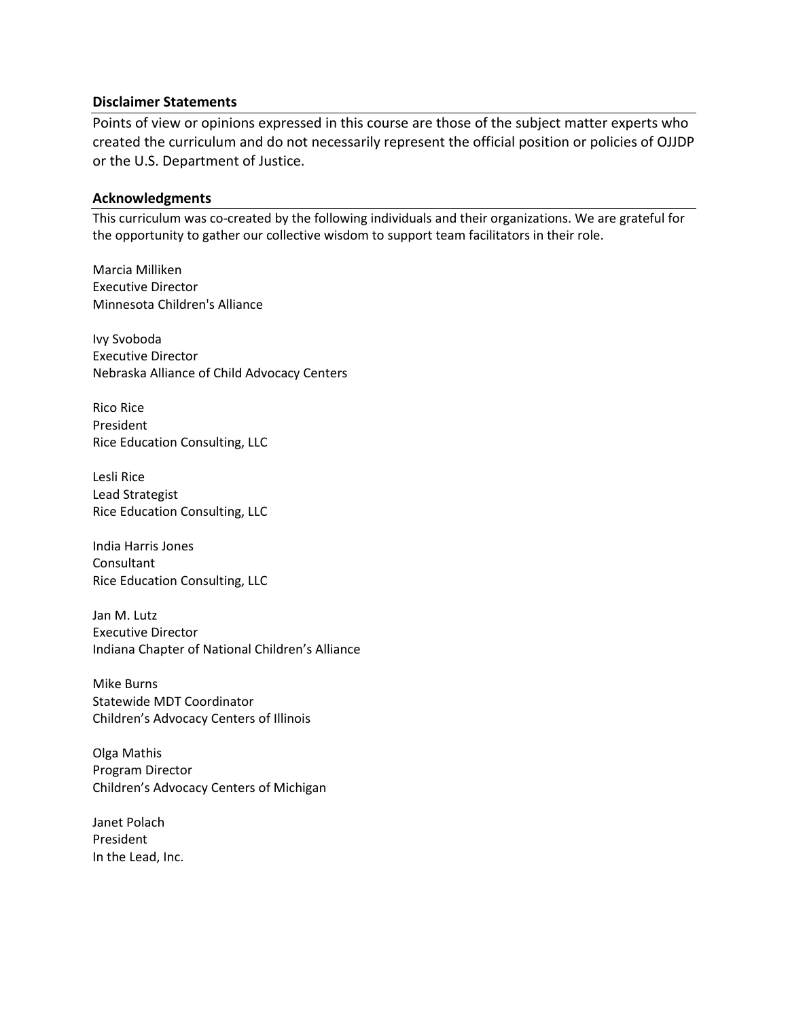#### **Disclaimer Statements**

Points of view or opinions expressed in this course are those of the subject matter experts who created the curriculum and do not necessarily represent the official position or policies of OJJDP or the U.S. Department of Justice.

#### **Acknowledgments**

This curriculum was co-created by the following individuals and their organizations. We are grateful for the opportunity to gather our collective wisdom to support team facilitators in their role.

Marcia Milliken Executive Director Minnesota Children's Alliance

Ivy Svoboda Executive Director Nebraska Alliance of Child Advocacy Centers

Rico Rice President Rice Education Consulting, LLC

Lesli Rice Lead Strategist Rice Education Consulting, LLC

India Harris Jones Consultant Rice Education Consulting, LLC

Jan M. Lutz Executive Director Indiana Chapter of National Children's Alliance

Mike Burns Statewide MDT Coordinator Children's Advocacy Centers of Illinois

Olga Mathis Program Director Children's Advocacy Centers of Michigan

Janet Polach President In the Lead, Inc.